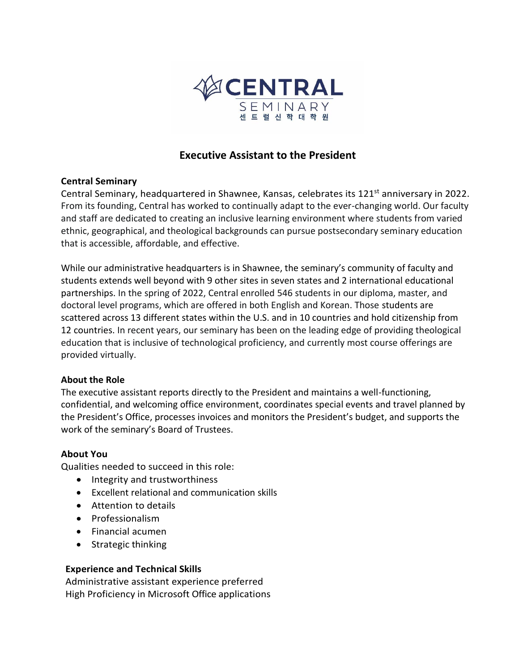

# **Executive Assistant to the President**

## **Central Seminary**

Central Seminary, headquartered in Shawnee, Kansas, celebrates its 121<sup>st</sup> anniversary in 2022. From its founding, Central has worked to continually adapt to the ever-changing world. Our faculty and staff are dedicated to creating an inclusive learning environment where students from varied ethnic, geographical, and theological backgrounds can pursue postsecondary seminary education that is accessible, affordable, and effective.

While our administrative headquarters is in Shawnee, the seminary's community of faculty and students extends well beyond with 9 other sites in seven states and 2 international educational partnerships. In the spring of 2022, Central enrolled 546 students in our diploma, master, and doctoral level programs, which are offered in both English and Korean. Those students are scattered across 13 different states within the U.S. and in 10 countries and hold citizenship from 12 countries. In recent years, our seminary has been on the leading edge of providing theological education that is inclusive of technological proficiency, and currently most course offerings are provided virtually.

#### **About the Role**

The executive assistant reports directly to the President and maintains a well-functioning, confidential, and welcoming office environment, coordinates special events and travel planned by the President's Office, processes invoices and monitors the President's budget, and supports the work of the seminary's Board of Trustees.

#### **About You**

Qualities needed to succeed in this role:

- Integrity and trustworthiness
- Excellent relational and communication skills
- Attention to details
- Professionalism
- Financial acumen
- Strategic thinking

#### **Experience and Technical Skills**

Administrative assistant experience preferred High Proficiency in Microsoft Office applications